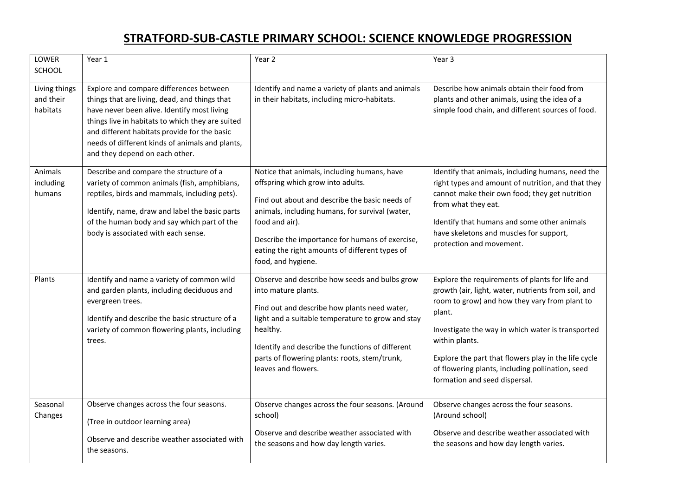## **STRATFORD-SUB-CASTLE PRIMARY SCHOOL: SCIENCE KNOWLEDGE PROGRESSION**

| LOWER<br>SCHOOL                        | Year 1                                                                                                                                                                                                                                                                                                                           | Year 2                                                                                                                                                                                                                                                                                                                             | Year 3                                                                                                                                                                                                                                                                                                                                                                                |
|----------------------------------------|----------------------------------------------------------------------------------------------------------------------------------------------------------------------------------------------------------------------------------------------------------------------------------------------------------------------------------|------------------------------------------------------------------------------------------------------------------------------------------------------------------------------------------------------------------------------------------------------------------------------------------------------------------------------------|---------------------------------------------------------------------------------------------------------------------------------------------------------------------------------------------------------------------------------------------------------------------------------------------------------------------------------------------------------------------------------------|
| Living things<br>and their<br>habitats | Explore and compare differences between<br>things that are living, dead, and things that<br>have never been alive. Identify most living<br>things live in habitats to which they are suited<br>and different habitats provide for the basic<br>needs of different kinds of animals and plants,<br>and they depend on each other. | Identify and name a variety of plants and animals<br>in their habitats, including micro-habitats.                                                                                                                                                                                                                                  | Describe how animals obtain their food from<br>plants and other animals, using the idea of a<br>simple food chain, and different sources of food.                                                                                                                                                                                                                                     |
| Animals<br>including<br>humans         | Describe and compare the structure of a<br>variety of common animals (fish, amphibians,<br>reptiles, birds and mammals, including pets).<br>Identify, name, draw and label the basic parts<br>of the human body and say which part of the<br>body is associated with each sense.                                                 | Notice that animals, including humans, have<br>offspring which grow into adults.<br>Find out about and describe the basic needs of<br>animals, including humans, for survival (water,<br>food and air).<br>Describe the importance for humans of exercise,<br>eating the right amounts of different types of<br>food, and hygiene. | Identify that animals, including humans, need the<br>right types and amount of nutrition, and that they<br>cannot make their own food; they get nutrition<br>from what they eat.<br>Identify that humans and some other animals<br>have skeletons and muscles for support,<br>protection and movement.                                                                                |
| Plants                                 | Identify and name a variety of common wild<br>and garden plants, including deciduous and<br>evergreen trees.<br>Identify and describe the basic structure of a<br>variety of common flowering plants, including<br>trees.                                                                                                        | Observe and describe how seeds and bulbs grow<br>into mature plants.<br>Find out and describe how plants need water,<br>light and a suitable temperature to grow and stay<br>healthy.<br>Identify and describe the functions of different<br>parts of flowering plants: roots, stem/trunk,<br>leaves and flowers.                  | Explore the requirements of plants for life and<br>growth (air, light, water, nutrients from soil, and<br>room to grow) and how they vary from plant to<br>plant.<br>Investigate the way in which water is transported<br>within plants.<br>Explore the part that flowers play in the life cycle<br>of flowering plants, including pollination, seed<br>formation and seed dispersal. |
| Seasonal<br>Changes                    | Observe changes across the four seasons.<br>(Tree in outdoor learning area)<br>Observe and describe weather associated with<br>the seasons.                                                                                                                                                                                      | Observe changes across the four seasons. (Around<br>school)<br>Observe and describe weather associated with<br>the seasons and how day length varies.                                                                                                                                                                              | Observe changes across the four seasons.<br>(Around school)<br>Observe and describe weather associated with<br>the seasons and how day length varies.                                                                                                                                                                                                                                 |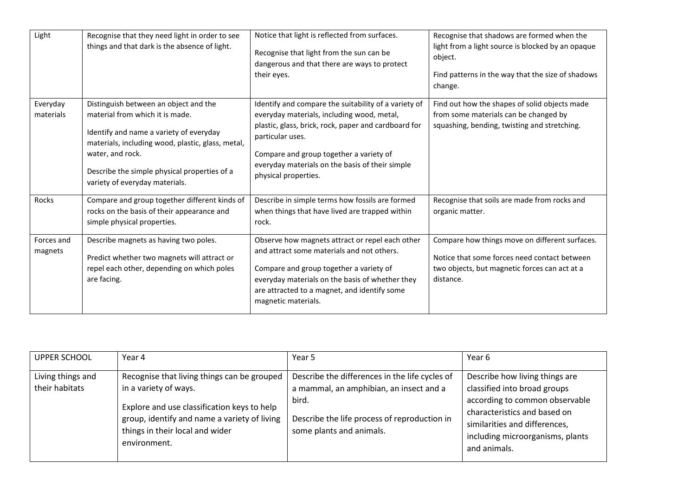| Light                 | Recognise that they need light in order to see<br>things and that dark is the absence of light.                                                                                                                                                                                | Notice that light is reflected from surfaces.<br>Recognise that light from the sun can be<br>dangerous and that there are ways to protect<br>their eyes.                                                                                                                                             | Recognise that shadows are formed when the<br>light from a light source is blocked by an opaque<br>object.<br>Find patterns in the way that the size of shadows<br>change. |
|-----------------------|--------------------------------------------------------------------------------------------------------------------------------------------------------------------------------------------------------------------------------------------------------------------------------|------------------------------------------------------------------------------------------------------------------------------------------------------------------------------------------------------------------------------------------------------------------------------------------------------|----------------------------------------------------------------------------------------------------------------------------------------------------------------------------|
| Everyday<br>materials | Distinguish between an object and the<br>material from which it is made.<br>Identify and name a variety of everyday<br>materials, including wood, plastic, glass, metal,<br>water, and rock.<br>Describe the simple physical properties of a<br>variety of everyday materials. | Identify and compare the suitability of a variety of<br>everyday materials, including wood, metal,<br>plastic, glass, brick, rock, paper and cardboard for<br>particular uses.<br>Compare and group together a variety of<br>everyday materials on the basis of their simple<br>physical properties. | Find out how the shapes of solid objects made<br>from some materials can be changed by<br>squashing, bending, twisting and stretching.                                     |
| <b>Rocks</b>          | Compare and group together different kinds of<br>rocks on the basis of their appearance and<br>simple physical properties.                                                                                                                                                     | Describe in simple terms how fossils are formed<br>when things that have lived are trapped within<br>rock.                                                                                                                                                                                           | Recognise that soils are made from rocks and<br>organic matter.                                                                                                            |
| Forces and<br>magnets | Describe magnets as having two poles.<br>Predict whether two magnets will attract or<br>repel each other, depending on which poles<br>are facing.                                                                                                                              | Observe how magnets attract or repel each other<br>and attract some materials and not others.<br>Compare and group together a variety of<br>everyday materials on the basis of whether they<br>are attracted to a magnet, and identify some<br>magnetic materials.                                   | Compare how things move on different surfaces.<br>Notice that some forces need contact between<br>two objects, but magnetic forces can act at a<br>distance.               |

| <b>UPPER SCHOOL</b>                 | Year 4                                                                                                                                                                                                                 | Year 5                                                                                                                                                                         | Year 6                                                                                                                                                                                                                |
|-------------------------------------|------------------------------------------------------------------------------------------------------------------------------------------------------------------------------------------------------------------------|--------------------------------------------------------------------------------------------------------------------------------------------------------------------------------|-----------------------------------------------------------------------------------------------------------------------------------------------------------------------------------------------------------------------|
| Living things and<br>their habitats | Recognise that living things can be grouped<br>in a variety of ways.<br>Explore and use classification keys to help<br>group, identify and name a variety of living<br>things in their local and wider<br>environment. | Describe the differences in the life cycles of<br>a mammal, an amphibian, an insect and a<br>bird.<br>Describe the life process of reproduction in<br>some plants and animals. | Describe how living things are<br>classified into broad groups<br>according to common observable<br>characteristics and based on<br>similarities and differences,<br>including microorganisms, plants<br>and animals. |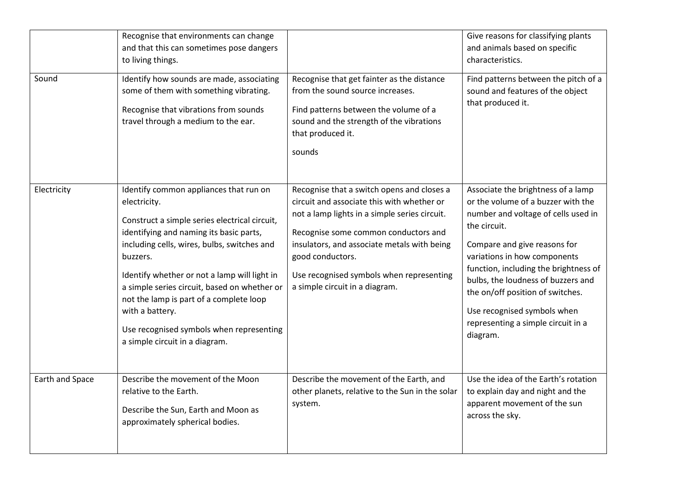|                 | Recognise that environments can change<br>and that this can sometimes pose dangers<br>to living things.                                                                                                                                                                                                                                                                                                                                                   |                                                                                                                                                                                                                                                                                                                                    | Give reasons for classifying plants<br>and animals based on specific<br>characteristics.                                                                                                                                                                                                                                                                                                            |
|-----------------|-----------------------------------------------------------------------------------------------------------------------------------------------------------------------------------------------------------------------------------------------------------------------------------------------------------------------------------------------------------------------------------------------------------------------------------------------------------|------------------------------------------------------------------------------------------------------------------------------------------------------------------------------------------------------------------------------------------------------------------------------------------------------------------------------------|-----------------------------------------------------------------------------------------------------------------------------------------------------------------------------------------------------------------------------------------------------------------------------------------------------------------------------------------------------------------------------------------------------|
| Sound           | Identify how sounds are made, associating<br>some of them with something vibrating.<br>Recognise that vibrations from sounds<br>travel through a medium to the ear.                                                                                                                                                                                                                                                                                       | Recognise that get fainter as the distance<br>from the sound source increases.<br>Find patterns between the volume of a<br>sound and the strength of the vibrations<br>that produced it.<br>sounds                                                                                                                                 | Find patterns between the pitch of a<br>sound and features of the object<br>that produced it.                                                                                                                                                                                                                                                                                                       |
| Electricity     | Identify common appliances that run on<br>electricity.<br>Construct a simple series electrical circuit,<br>identifying and naming its basic parts,<br>including cells, wires, bulbs, switches and<br>buzzers.<br>Identify whether or not a lamp will light in<br>a simple series circuit, based on whether or<br>not the lamp is part of a complete loop<br>with a battery.<br>Use recognised symbols when representing<br>a simple circuit in a diagram. | Recognise that a switch opens and closes a<br>circuit and associate this with whether or<br>not a lamp lights in a simple series circuit.<br>Recognise some common conductors and<br>insulators, and associate metals with being<br>good conductors.<br>Use recognised symbols when representing<br>a simple circuit in a diagram. | Associate the brightness of a lamp<br>or the volume of a buzzer with the<br>number and voltage of cells used in<br>the circuit.<br>Compare and give reasons for<br>variations in how components<br>function, including the brightness of<br>bulbs, the loudness of buzzers and<br>the on/off position of switches.<br>Use recognised symbols when<br>representing a simple circuit in a<br>diagram. |
| Earth and Space | Describe the movement of the Moon<br>relative to the Earth.<br>Describe the Sun, Earth and Moon as<br>approximately spherical bodies.                                                                                                                                                                                                                                                                                                                     | Describe the movement of the Earth, and<br>other planets, relative to the Sun in the solar<br>system.                                                                                                                                                                                                                              | Use the idea of the Earth's rotation<br>to explain day and night and the<br>apparent movement of the sun<br>across the sky.                                                                                                                                                                                                                                                                         |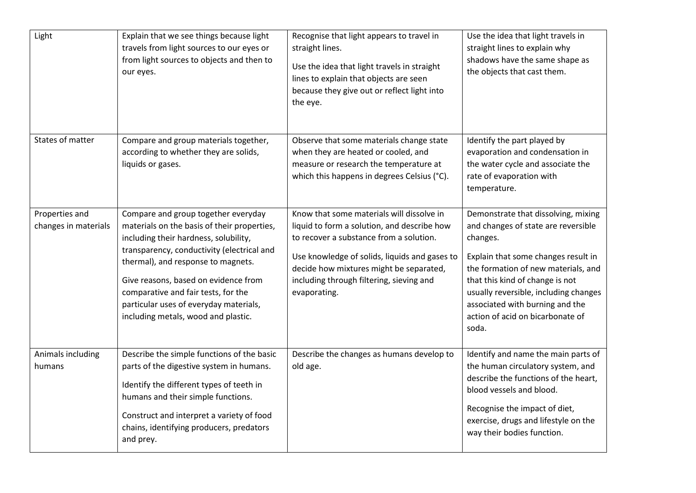| Light                                  | Explain that we see things because light<br>travels from light sources to our eyes or<br>from light sources to objects and then to<br>our eyes.                                                                                                                                                                                                                                 | Recognise that light appears to travel in<br>straight lines.<br>Use the idea that light travels in straight<br>lines to explain that objects are seen<br>because they give out or reflect light into<br>the eye.                                                                            | Use the idea that light travels in<br>straight lines to explain why<br>shadows have the same shape as<br>the objects that cast them.                                                                                                                                                                                             |
|----------------------------------------|---------------------------------------------------------------------------------------------------------------------------------------------------------------------------------------------------------------------------------------------------------------------------------------------------------------------------------------------------------------------------------|---------------------------------------------------------------------------------------------------------------------------------------------------------------------------------------------------------------------------------------------------------------------------------------------|----------------------------------------------------------------------------------------------------------------------------------------------------------------------------------------------------------------------------------------------------------------------------------------------------------------------------------|
| States of matter                       | Compare and group materials together,<br>according to whether they are solids,<br>liquids or gases.                                                                                                                                                                                                                                                                             | Observe that some materials change state<br>when they are heated or cooled, and<br>measure or research the temperature at<br>which this happens in degrees Celsius (°C).                                                                                                                    | Identify the part played by<br>evaporation and condensation in<br>the water cycle and associate the<br>rate of evaporation with<br>temperature.                                                                                                                                                                                  |
| Properties and<br>changes in materials | Compare and group together everyday<br>materials on the basis of their properties,<br>including their hardness, solubility,<br>transparency, conductivity (electrical and<br>thermal), and response to magnets.<br>Give reasons, based on evidence from<br>comparative and fair tests, for the<br>particular uses of everyday materials,<br>including metals, wood and plastic. | Know that some materials will dissolve in<br>liquid to form a solution, and describe how<br>to recover a substance from a solution.<br>Use knowledge of solids, liquids and gases to<br>decide how mixtures might be separated,<br>including through filtering, sieving and<br>evaporating. | Demonstrate that dissolving, mixing<br>and changes of state are reversible<br>changes.<br>Explain that some changes result in<br>the formation of new materials, and<br>that this kind of change is not<br>usually reversible, including changes<br>associated with burning and the<br>action of acid on bicarbonate of<br>soda. |
| Animals including<br>humans            | Describe the simple functions of the basic<br>parts of the digestive system in humans.<br>Identify the different types of teeth in<br>humans and their simple functions.<br>Construct and interpret a variety of food<br>chains, identifying producers, predators<br>and prey.                                                                                                  | Describe the changes as humans develop to<br>old age.                                                                                                                                                                                                                                       | Identify and name the main parts of<br>the human circulatory system, and<br>describe the functions of the heart,<br>blood vessels and blood.<br>Recognise the impact of diet,<br>exercise, drugs and lifestyle on the<br>way their bodies function.                                                                              |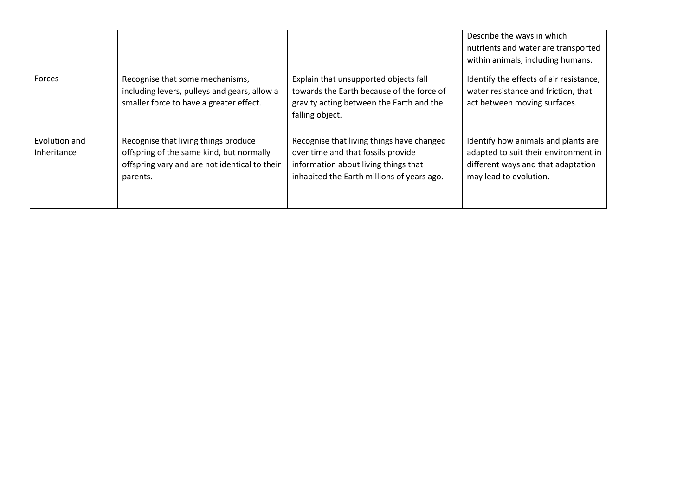|                              |                                                                                                                                               |                                                                                                                                                                       | Describe the ways in which<br>nutrients and water are transported<br>within animals, including humans.                                      |
|------------------------------|-----------------------------------------------------------------------------------------------------------------------------------------------|-----------------------------------------------------------------------------------------------------------------------------------------------------------------------|---------------------------------------------------------------------------------------------------------------------------------------------|
| Forces                       | Recognise that some mechanisms,<br>including levers, pulleys and gears, allow a<br>smaller force to have a greater effect.                    | Explain that unsupported objects fall<br>towards the Earth because of the force of<br>gravity acting between the Earth and the<br>falling object.                     | Identify the effects of air resistance,<br>water resistance and friction, that<br>act between moving surfaces.                              |
| Evolution and<br>Inheritance | Recognise that living things produce<br>offspring of the same kind, but normally<br>offspring vary and are not identical to their<br>parents. | Recognise that living things have changed<br>over time and that fossils provide<br>information about living things that<br>inhabited the Earth millions of years ago. | Identify how animals and plants are<br>adapted to suit their environment in<br>different ways and that adaptation<br>may lead to evolution. |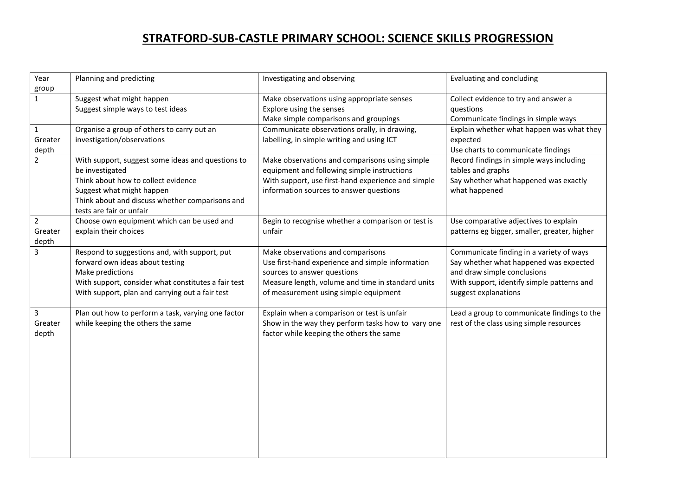## **STRATFORD-SUB-CASTLE PRIMARY SCHOOL: SCIENCE SKILLS PROGRESSION**

| Year           | Planning and predicting                             | Investigating and observing                        | Evaluating and concluding                    |
|----------------|-----------------------------------------------------|----------------------------------------------------|----------------------------------------------|
| group          |                                                     |                                                    |                                              |
| $\mathbf{1}$   | Suggest what might happen                           | Make observations using appropriate senses         | Collect evidence to try and answer a         |
|                | Suggest simple ways to test ideas                   | Explore using the senses                           | questions                                    |
|                |                                                     | Make simple comparisons and groupings              | Communicate findings in simple ways          |
| $\mathbf{1}$   | Organise a group of others to carry out an          | Communicate observations orally, in drawing,       | Explain whether what happen was what they    |
| Greater        | investigation/observations                          | labelling, in simple writing and using ICT         | expected                                     |
| depth          |                                                     |                                                    | Use charts to communicate findings           |
| $\overline{2}$ | With support, suggest some ideas and questions to   | Make observations and comparisons using simple     | Record findings in simple ways including     |
|                | be investigated                                     | equipment and following simple instructions        | tables and graphs                            |
|                | Think about how to collect evidence                 | With support, use first-hand experience and simple | Say whether what happened was exactly        |
|                | Suggest what might happen                           | information sources to answer questions            | what happened                                |
|                | Think about and discuss whether comparisons and     |                                                    |                                              |
|                | tests are fair or unfair                            |                                                    |                                              |
| $\overline{2}$ | Choose own equipment which can be used and          | Begin to recognise whether a comparison or test is | Use comparative adjectives to explain        |
| Greater        | explain their choices                               | unfair                                             | patterns eg bigger, smaller, greater, higher |
| depth          |                                                     |                                                    |                                              |
| 3              | Respond to suggestions and, with support, put       | Make observations and comparisons                  | Communicate finding in a variety of ways     |
|                | forward own ideas about testing                     | Use first-hand experience and simple information   | Say whether what happened was expected       |
|                | Make predictions                                    | sources to answer questions                        | and draw simple conclusions                  |
|                | With support, consider what constitutes a fair test | Measure length, volume and time in standard units  | With support, identify simple patterns and   |
|                | With support, plan and carrying out a fair test     | of measurement using simple equipment              | suggest explanations                         |
|                |                                                     |                                                    |                                              |
| 3              | Plan out how to perform a task, varying one factor  | Explain when a comparison or test is unfair        | Lead a group to communicate findings to the  |
| Greater        | while keeping the others the same                   | Show in the way they perform tasks how to vary one | rest of the class using simple resources     |
| depth          |                                                     | factor while keeping the others the same           |                                              |
|                |                                                     |                                                    |                                              |
|                |                                                     |                                                    |                                              |
|                |                                                     |                                                    |                                              |
|                |                                                     |                                                    |                                              |
|                |                                                     |                                                    |                                              |
|                |                                                     |                                                    |                                              |
|                |                                                     |                                                    |                                              |
|                |                                                     |                                                    |                                              |
|                |                                                     |                                                    |                                              |
|                |                                                     |                                                    |                                              |
|                |                                                     |                                                    |                                              |
|                |                                                     |                                                    |                                              |